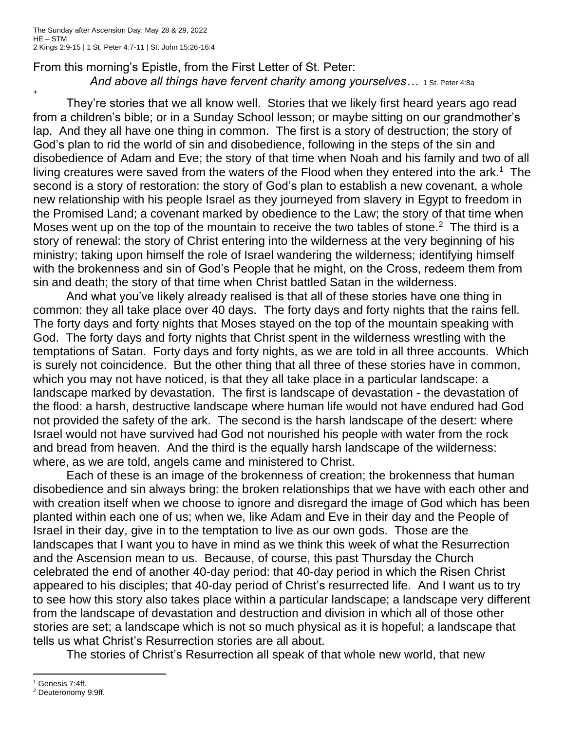+

From this morning's Epistle, from the First Letter of St. Peter: And above all things have fervent charity among yourselves... 1 St. Peter 4:8a

They're stories that we all know well. Stories that we likely first heard years ago read from a children's bible; or in a Sunday School lesson; or maybe sitting on our grandmother's lap. And they all have one thing in common. The first is a story of destruction; the story of God's plan to rid the world of sin and disobedience, following in the steps of the sin and disobedience of Adam and Eve; the story of that time when Noah and his family and two of all living creatures were saved from the waters of the Flood when they entered into the ark.<sup>1</sup> The second is a story of restoration: the story of God's plan to establish a new covenant, a whole new relationship with his people Israel as they journeyed from slavery in Egypt to freedom in the Promised Land; a covenant marked by obedience to the Law; the story of that time when Moses went up on the top of the mountain to receive the two tables of stone.<sup>2</sup> The third is a story of renewal: the story of Christ entering into the wilderness at the very beginning of his ministry; taking upon himself the role of Israel wandering the wilderness; identifying himself with the brokenness and sin of God's People that he might, on the Cross, redeem them from sin and death; the story of that time when Christ battled Satan in the wilderness.

And what you've likely already realised is that all of these stories have one thing in common: they all take place over 40 days. The forty days and forty nights that the rains fell. The forty days and forty nights that Moses stayed on the top of the mountain speaking with God. The forty days and forty nights that Christ spent in the wilderness wrestling with the temptations of Satan. Forty days and forty nights, as we are told in all three accounts. Which is surely not coincidence. But the other thing that all three of these stories have in common, which you may not have noticed, is that they all take place in a particular landscape: a landscape marked by devastation. The first is landscape of devastation - the devastation of the flood: a harsh, destructive landscape where human life would not have endured had God not provided the safety of the ark. The second is the harsh landscape of the desert: where Israel would not have survived had God not nourished his people with water from the rock and bread from heaven. And the third is the equally harsh landscape of the wilderness: where, as we are told, angels came and ministered to Christ.

Each of these is an image of the brokenness of creation; the brokenness that human disobedience and sin always bring: the broken relationships that we have with each other and with creation itself when we choose to ignore and disregard the image of God which has been planted within each one of us; when we, like Adam and Eve in their day and the People of Israel in their day, give in to the temptation to live as our own gods. Those are the landscapes that I want you to have in mind as we think this week of what the Resurrection and the Ascension mean to us. Because, of course, this past Thursday the Church celebrated the end of another 40-day period: that 40-day period in which the Risen Christ appeared to his disciples; that 40-day period of Christ's resurrected life. And I want us to try to see how this story also takes place within a particular landscape; a landscape very different from the landscape of devastation and destruction and division in which all of those other stories are set; a landscape which is not so much physical as it is hopeful; a landscape that tells us what Christ's Resurrection stories are all about.

The stories of Christ's Resurrection all speak of that whole new world, that new

<sup>1</sup> Genesis 7:4ff.

<sup>2</sup> Deuteronomy 9:9ff.